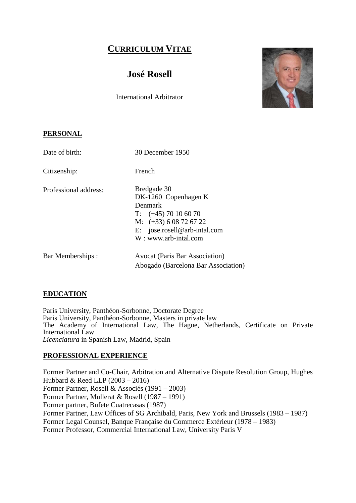# **CURRICULUM VITAE**

# **José Rosell**

International Arbitrator



### **PERSONAL**

| Date of birth:        | 30 December 1950                                                                                                                                                  |
|-----------------------|-------------------------------------------------------------------------------------------------------------------------------------------------------------------|
| Citizenship:          | French                                                                                                                                                            |
| Professional address: | Bredgade 30<br>DK-1260 Copenhagen K<br>Denmark<br>$T:$ $(+45)$ 70 10 60 70<br>M: $(+33)$ 6 08 72 67 22<br>E: $joserosell@arb-intal.com$<br>$W:$ www.arb-intal.com |
| Bar Memberships :     | <b>Avocat (Paris Bar Association)</b><br>Abogado (Barcelona Bar Association)                                                                                      |

### **EDUCATION**

Paris University, Panthéon-Sorbonne, Doctorate Degree Paris University, Panthéon-Sorbonne, Masters in private law The Academy of International Law, The Hague, Netherlands, Certificate on Private International Law *Licenciatura* in Spanish Law, Madrid, Spain

### **PROFESSIONAL EXPERIENCE**

Former Partner and Co-Chair, Arbitration and Alternative Dispute Resolution Group, Hughes Hubbard & Reed LLP (2003 – 2016) Former Partner, Rosell & Associés (1991 – 2003) Former Partner, Mullerat & Rosell (1987 – 1991) Former partner, Bufete Cuatrecasas (1987) Former Partner, Law Offices of SG Archibald, Paris, New York and Brussels (1983 – 1987) Former Legal Counsel, Banque Française du Commerce Extérieur (1978 – 1983) Former Professor, Commercial International Law, University Paris V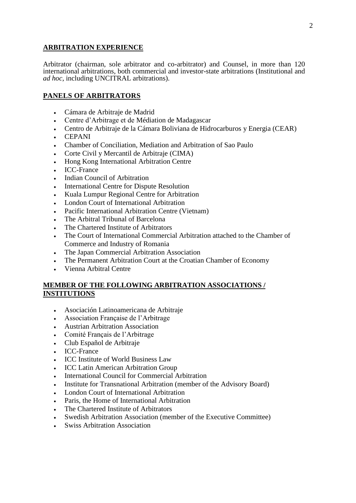#### **ARBITRATION EXPERIENCE**

Arbitrator (chairman, sole arbitrator and co-arbitrator) and Counsel, in more than 120 international arbitrations, both commercial and investor-state arbitrations (Institutional and *ad hoc*, including UNCITRAL arbitrations).

### **PANELS OF ARBITRATORS**

- Cámara de Arbitraje de Madrid
- Centre d'Arbitrage et de Médiation de Madagascar
- Centro de Arbitraje de la Cámara Boliviana de Hidrocarburos y Energia (CEAR)
- CEPANI
- Chamber of Conciliation, Mediation and Arbitration of Sao Paulo
- Corte Civil y Mercantil de Arbitraje (CIMA)
- Hong Kong International Arbitration Centre
- ICC-France
- Indian Council of Arbitration
- International Centre for Dispute Resolution
- Kuala Lumpur Regional Centre for Arbitration
- London Court of International Arbitration
- Pacific International Arbitration Centre (Vietnam)
- The Arbitral Tribunal of Barcelona
- The Chartered Institute of Arbitrators
- The Court of International Commercial Arbitration attached to the Chamber of Commerce and Industry of Romania
- The Japan Commercial Arbitration Association
- The Permanent Arbitration Court at the Croatian Chamber of Economy
- Vienna Arbitral Centre

### **MEMBER OF THE FOLLOWING ARBITRATION ASSOCIATIONS / INSTITUTIONS**

- Asociación Latinoamericana de Arbitraje
- Association Française de l'Arbitrage
- Austrian Arbitration Association
- Comité Français de l'Arbitrage
- Club Español de Arbitraje
- ICC-France
- ICC Institute of World Business Law
- ICC Latin American Arbitration Group
- International Council for Commercial Arbitration
- Institute for Transnational Arbitration (member of the Advisory Board)
- London Court of International Arbitration
- Paris, the Home of International Arbitration
- The Chartered Institute of Arbitrators
- Swedish Arbitration Association (member of the Executive Committee)
- Swiss Arbitration Association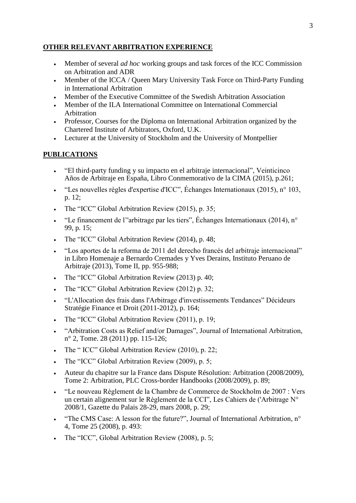### **OTHER RELEVANT ARBITRATION EXPERIENCE**

- Member of several *ad hoc* working groups and task forces of the ICC Commission on Arbitration and ADR
- Member of the ICCA / Queen Mary University Task Force on Third-Party Funding in International Arbitration
- Member of the Executive Committee of the Swedish Arbitration Association
- Member of the ILA International Committee on International Commercial Arbitration
- Professor, Courses for the Diploma on International Arbitration organized by the Chartered Institute of Arbitrators, Oxford, U.K.
- Lecturer at the University of Stockholm and the University of Montpellier

### **PUBLICATIONS**

- "El third-party funding y su impacto en el arbitraje internacional", Veinticinco Años de Arbitraje en España, Libro Conmemorativo de la CIMA (2015), p.261;
- "Les nouvelles règles d'expertise d'ICC", Échanges Internationaux (2015), n° 103, p. 12;
- The "ICC" Global Arbitration Review (2015), p. 35;
- "Le financement de l''arbitrage par les tiers", Échanges Internationaux (2014), n° 99, p. 15;
- The "ICC" Global Arbitration Review (2014), p. 48;
- "Los aportes de la reforma de 2011 del derecho francés del arbitraje internacional" in Libro Homenaje a Bernardo Cremades y Yves Derains, Instituto Peruano de Arbitraje (2013), Tome II, pp. 955-988;
- The "ICC" Global Arbitration Review (2013) p. 40;
- The "ICC" Global Arbitration Review (2012) p. 32;
- "L'Allocation des frais dans l'Arbitrage d'investissements Tendances" Décideurs Stratégie Finance et Droit (2011-2012), p. 164;
- The "ICC" Global Arbitration Review (2011), p. 19:
- "Arbitration Costs as Relief and/or Damages", Journal of International Arbitration, n° 2, Tome. 28 (2011) pp. 115-126;
- The " ICC" Global Arbitration Review (2010), p. 22;
- The "ICC" Global Arbitration Review (2009), p. 5;
- Auteur du chapitre sur la France dans Dispute Résolution: Arbitration (2008/2009), Tome 2: Arbitration, PLC Cross-border Handbooks (2008/2009), p. 89;
- "Le nouveau Règlement de la Chambre de Commerce de Stockholm de 2007 : Vers un certain alignement sur le Règlement de la CCI", Les Cahiers de l'Arbitrage N° 2008/1, Gazette du Palais 28-29, mars 2008, p. 29;
- "The CMS Case: A lesson for the future?", Journal of International Arbitration, n° 4, Tome 25 (2008), p. 493:
- The "ICC", Global Arbitration Review (2008), p. 5;